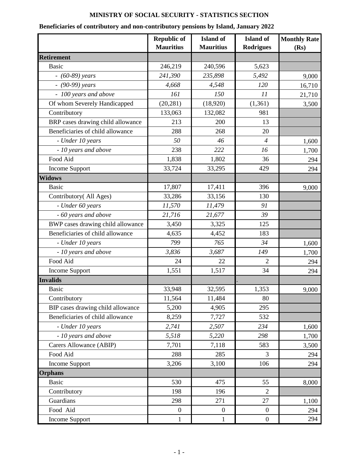## **MINISTRY OF SOCIAL SECURITY - STATISTICS SECTION**

## **Beneficiaries of contributory and non-contributory pensions by Island, January 2022**

|                                   | <b>Republic of</b><br><b>Mauritius</b> | <b>Island</b> of<br><b>Mauritius</b> | <b>Island</b> of<br><b>Rodrigues</b> | <b>Monthly Rate</b><br>(Rs) |
|-----------------------------------|----------------------------------------|--------------------------------------|--------------------------------------|-----------------------------|
| <b>Retirement</b>                 |                                        |                                      |                                      |                             |
| <b>Basic</b>                      | 246,219                                | 240,596                              | 5,623                                |                             |
| $- (60-89)$ years                 | 241,390                                | 235,898                              | 5,492                                | 9,000                       |
| $-$ (90-99) years                 | 4,668                                  | 4,548                                | 120                                  | 16,710                      |
| - 100 years and above             | 161                                    | 150                                  | 11                                   | 21,710                      |
| Of whom Severely Handicapped      | (20, 281)                              | (18,920)                             | (1, 361)                             | 3,500                       |
| Contributory                      | 133,063                                | 132,082                              | 981                                  |                             |
| BRP cases drawing child allowance | 213                                    | 200                                  | 13                                   |                             |
| Beneficiaries of child allowance  | 288                                    | 268                                  | 20                                   |                             |
| - Under 10 years                  | 50                                     | 46                                   | $\overline{4}$                       | 1,600                       |
| - 10 years and above              | 238                                    | 222                                  | 16                                   | 1,700                       |
| Food Aid                          | 1,838                                  | 1,802                                | 36                                   | 294                         |
| Income Support                    | 33,724                                 | 33,295                               | 429                                  | 294                         |
| <b>Widows</b>                     |                                        |                                      |                                      |                             |
| <b>Basic</b>                      | 17,807                                 | 17,411                               | 396                                  | 9,000                       |
| Contributory (All Ages)           | 33,286                                 | 33,156                               | 130                                  |                             |
| - Under 60 years                  | 11,570                                 | 11,479                               | 91                                   |                             |
| - 60 years and above              | 21,716                                 | 21,677                               | 39                                   |                             |
| BWP cases drawing child allowance | 3,450                                  | 3,325                                | 125                                  |                             |
| Beneficiaries of child allowance  | 4,635                                  | 4,452                                | 183                                  |                             |
| - Under 10 years                  | 799                                    | 765                                  | 34                                   | 1,600                       |
| - 10 years and above              | 3,836                                  | 3,687                                | 149                                  | 1,700                       |
| Food Aid                          | 24                                     | 22                                   | 2                                    | 294                         |
| Income Support                    | 1,551                                  | 1,517                                | 34                                   | 294                         |
| <b>Invalids</b>                   |                                        |                                      |                                      |                             |
| <b>Basic</b>                      | 33,948                                 | 32,595                               | 1,353                                | 9,000                       |
| Contributory                      | 11,564                                 | 11,484                               | 80                                   |                             |
| BIP cases drawing child allowance | 5,200                                  | 4,905                                | 295                                  |                             |
| Beneficiaries of child allowance  | 8,259                                  | 7,727                                | 532                                  |                             |
| - Under 10 years                  | 2,741                                  | 2,507                                | 234                                  | 1,600                       |
| - 10 years and above              | 5,518                                  | 5,220                                | 298                                  | 1,700                       |
| Carers Allowance (ABIP)           | 7,701                                  | 7,118                                | 583                                  | 3,500                       |
| Food Aid                          | 288                                    | 285                                  | 3                                    | 294                         |
| Income Support                    | 3,206                                  | 3,100                                | 106                                  | 294                         |
| <b>Orphans</b>                    |                                        |                                      |                                      |                             |
| <b>Basic</b>                      | 530                                    | 475                                  | 55                                   | 8,000                       |
| Contributory                      | 198                                    | 196                                  | $\overline{2}$                       |                             |
| Guardians                         | 298                                    | 271                                  | 27                                   | 1,100                       |
| Food Aid                          | $\boldsymbol{0}$                       | $\overline{0}$                       | $\mathbf{0}$                         | 294                         |
| <b>Income Support</b>             | $\mathbf{1}$                           | 1                                    | $\boldsymbol{0}$                     | 294                         |